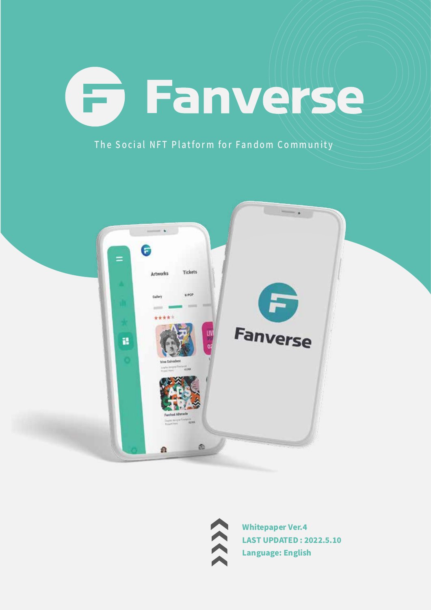# **Fanverse**

The Social NFT Platform for Fandom Community





**Whitepaper Ver.4 LAST UPDATED: 2022.5.10 Language: English**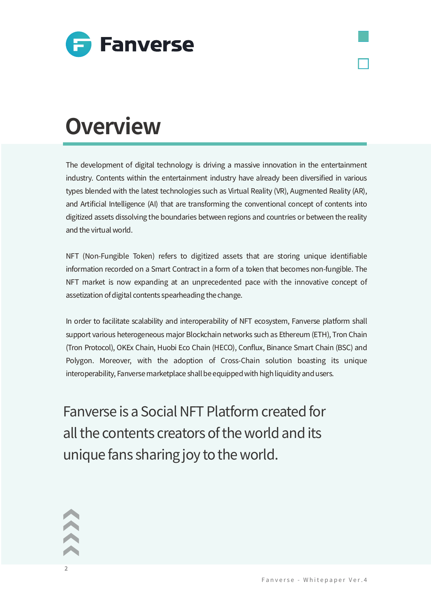

# **Overview**

The development of digital technology is driving a massive innovation in the entertainment industry. Contents within the entertainment industry have already been diversified in various types blended with the latest technologies such as Virtual Reality (VR), Augmented Reality (AR), and Artificial Intelligence (AI) that are transforming the conventional concept of contents into digitized assets dissolving the boundaries between regions and countries or between the reality and the virtual world.

NFT (Non-Fungible Token) refers to digitized assets that are storing unique identifiable information recorded on a Smart Contract in a form of a token that becomes non-fungible. The NFT market is now expanding at an unprecedented pace with the innovative concept of assetization of digital contents spearheading the change.

In order to facilitate scalability and interoperability of NFT ecosystem, Fanverse platform shall support various heterogeneous major Blockchain networks such as Ethereum (ETH), Tron Chain (Tron Protocol), OKEx Chain, Huobi Eco Chain (HECO), Conflux, Binance Smart Chain (BSC) and Polygon. Moreover, with the adoption of Cross-Chain solution boasting its unique interoperability, Fanverse marketplace shall be equipped with high liquidity and users.

Fanverse is a Social NFT Platform created for all the contents creators of the world and its unique fans sharing joy to the world.



 $\mathcal{L}$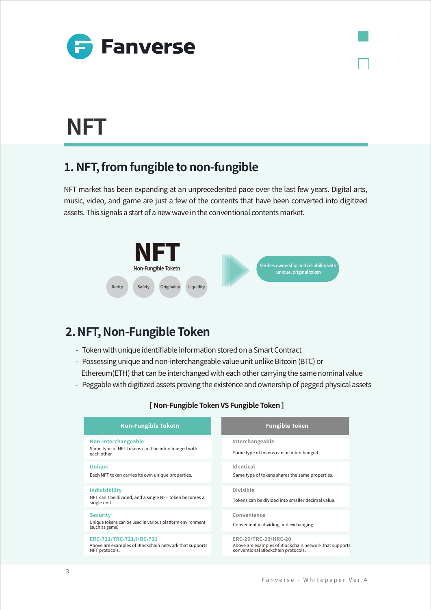

### **NFT**

### **�. NFT, from fungible to non-fungible**

NFT market has been expanding at an unprecedented pace over the last few years. Digital arts, music, video, and game are just a few of the contents that have been converted into digitized assets. This signals a start of a new wave in the conventional contents market.



### **�. NFT, Non-Fungible Token**

- Token with unique identifiable information stored on a Smart Contract
- Possessing unique and non-interchangeable value unit unlike Bitcoin (BTC) or Ethereum(ETH) that can be interchanged with each other carrying the same nominal value
- Peggable with digitized assets proving the existence and ownership of pegged physical assets

| <b>Fungible Token</b>                                                                                                |
|----------------------------------------------------------------------------------------------------------------------|
| Interchangeable<br>Same type of tokens can be interchanged                                                           |
| Identical<br>Same type of tokens shares the same properties.                                                         |
| Divisible<br>Tokens can be divided into smaller decimal value                                                        |
| Convenience<br>Convenient in dividing and exchanging                                                                 |
| ERC-20/TRC-20/HRC-20<br>Above are examples of Blockchain network that supports<br>conventional Blockchain protocols. |
|                                                                                                                      |

#### **[ Non-Fungible Token VS Fungible Token ]**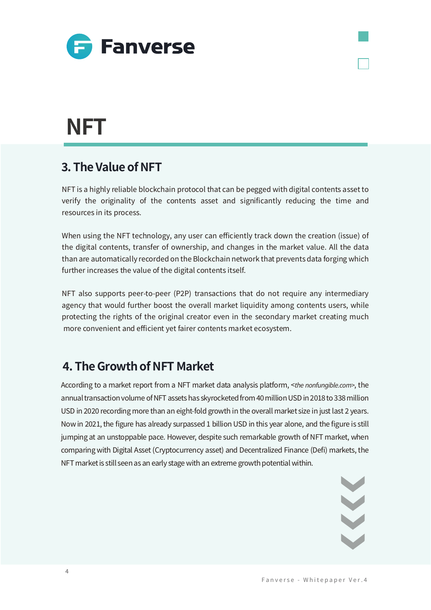

### **NFT**

### **�. The Value of NFT**

NFT is a highly reliable blockchain protocol that can be pegged with digital contents asset to verify the originality of the contents asset and significantly reducing the time and resources in its process.

When using the NFT technology, any user can efficiently track down the creation (issue) of the digital contents, transfer of ownership, and changes in the market value. All the data than are automatically recorded on the Blockchain network that prevents data forging which further increases the value of the digital contents itself.

NFT also supports peer-to-peer (P2P) transactions that do not require any intermediary agency that would further boost the overall market liquidity among contents users, while protecting the rights of the original creator even in the secondary market creating much more convenient and efficient yet fairer contents market ecosystem.

### **�. The Growth of NFT Market**

According to a market report from a NFT market data analysis platform, <the nonfungible.com>, the annual transaction volume of NFT assets has skyrocketed from 40 million USD in 2018 to 338 million USD in 2020 recording more than an eight-fold growth in the overall market size in just last 2 years. Now in 2021, the figure has already surpassed 1 billion USD in this year alone, and the figure is still jumping at an unstoppable pace. However, despite such remarkable growth of NFT market, when comparing with Digital Asset (Cryptocurrency asset) and Decentralized Finance (Defi) markets, the NFT market is still seen as an early stage with an extreme growth potential within.

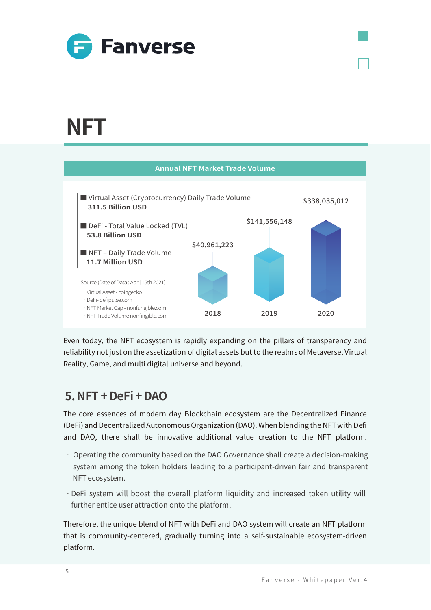

### NFT



Even today, the NFT ecosystem is rapidly expanding on the pillars of transparency and reliability not just on the assetization of digital assets but to the realms of Metaverse, Virtual Reality, Game, and multi digital universe and beyond.

### $5.$  NFT + DeFi + DAO

The core essences of modern day Blockchain ecosystem are the Decentralized Finance (DeFi) and Decentralized Autonomous Organization (DAO). When blending the NFT with Defi and DAO, there shall be innovative additional value creation to the NFT platform.

- Operating the community based on the DAO Governance shall create a decision-making system among the token holders leading to a participant-driven fair and transparent NFT ecosystem.
- · DeFi system will boost the overall platform liquidity and increased token utility will further entice user attraction onto the platform.

Therefore, the unique blend of NFT with DeFi and DAO system will create an NFT platform that is community-centered, gradually turning into a self-sustainable ecosystem-driven platform.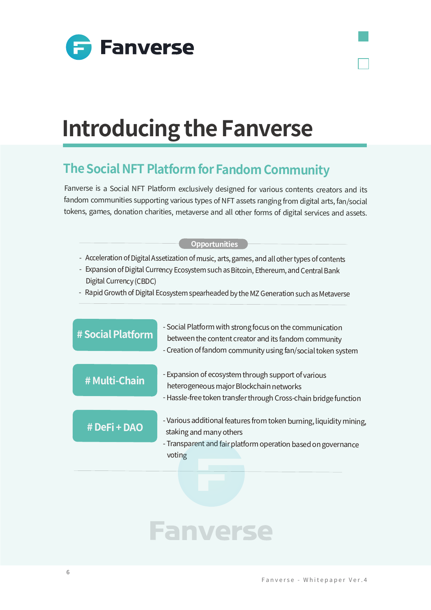

# **Introducing the Fanverse**

### **The Social NFT Platform for Fandom Community**

Fanverse is a Social NFT Platform exclusively designed for various contents creators and its fandom communities supporting various types of NFT assets ranging from digital arts, fan/social tokens, games, donation charities, metaverse and all other forms of digital services and assets.

#### **Opportunities**

- Acceleration of Digital Assetization of music, arts, games, and all other types of contents
- Expansion of Digital Currency Ecosystem such as Bitcoin, Ethereum, and Central Bank Digital Currency (CBDC)
- Rapid Growth of Digital Ecosystem spearheaded by the MZ Generation such as Metaverse

| # Social Platform | - Social Platform with strong focus on the communication<br>between the content creator and its fandom community<br>- Creation of fandom community using fan/social token system |  |  |  |
|-------------------|----------------------------------------------------------------------------------------------------------------------------------------------------------------------------------|--|--|--|
| # Multi-Chain     | - Expansion of ecosystem through support of various<br>heterogeneous major Blockchain networks<br>- Hassle-free token transfer through Cross-chain bridge function               |  |  |  |
| # DeFi + DAO      | - Various additional features from token burning, liquidity mining,<br>staking and many others<br>- Transparent and fair platform operation based on governance<br>voting        |  |  |  |
|                   |                                                                                                                                                                                  |  |  |  |

# **Fanverse**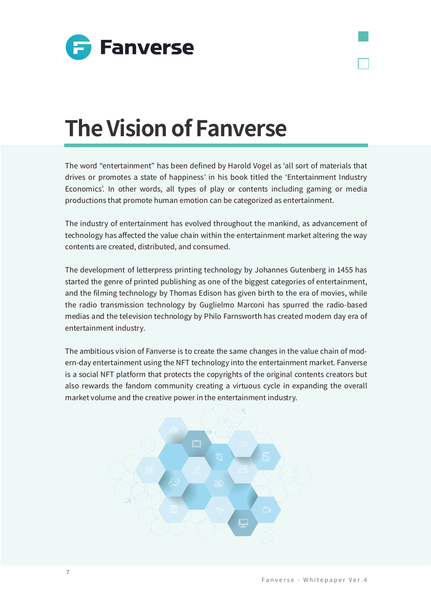

# **The Vision of Fanverse**

The word "entertainment" has been defined by Harold Vogel as ʻall sort of materials that drives or promotes a state of happiness' in his book titled the ʻEntertainment Industry Economics'. In other words, all types of play or contents including gaming or media productions that promote human emotion can be categorized as entertainment.

The industry of entertainment has evolved throughout the mankind, as advancement of technology has affected the value chain within the entertainment market altering the way contents are created, distributed, and consumed.

The development of letterpress printing technology by Johannes Gutenberg in 1455 has started the genre of printed publishing as one of the biggest categories of entertainment, and the filming technology by Thomas Edison has given birth to the era of movies, while the radio transmission technology by Guglielmo Marconi has spurred the radio-based medias and the television technology by Philo Farnsworth has created modern day era of entertainment industry.

The ambitious vision of Fanverse is to create the same changes in the value chain of modern-day entertainment using the NFT technology into the entertainment market. Fanverse is a social NFT platform that protects the copyrights of the original contents creators but also rewards the fandom community creating a virtuous cycle in expanding the overall market volume and the creative power in the entertainment industry.

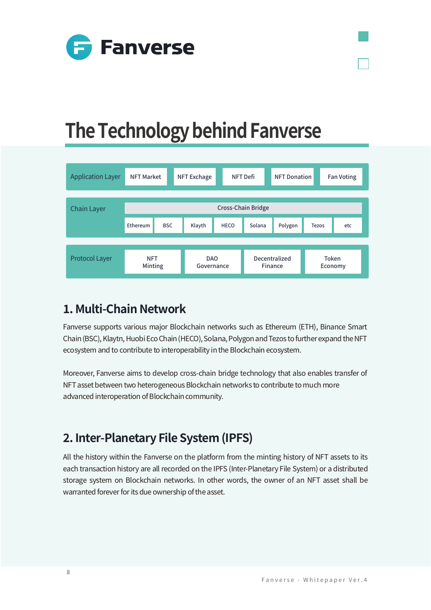

### **The Technology behind Fanverse**

| <b>Application Layer</b> | <b>NFT Market</b>     |            | NFT Exchage              |             | <b>NFT Defi</b>          | <b>NFT Donation</b> |                  | <b>Fan Voting</b> |
|--------------------------|-----------------------|------------|--------------------------|-------------|--------------------------|---------------------|------------------|-------------------|
| <b>Chain Layer</b>       | Cross-Chain Bridge    |            |                          |             |                          |                     |                  |                   |
|                          | Ethereum              | <b>BSC</b> | Klayth                   | <b>HECO</b> | Solana                   | Polygon             | <b>Tezos</b>     | etc               |
|                          |                       |            |                          |             |                          |                     |                  |                   |
| <b>Protocol Layer</b>    | <b>NFT</b><br>Minting |            | <b>DAO</b><br>Governance |             | Decentralized<br>Finance |                     | Token<br>Economy |                   |

### **�. Multi-Chain Network**

Fanverse supports various major Blockchain networks such as Ethereum (ETH), Binance Smart Chain (BSC), Klaytn, Huobi Eco Chain (HECO), Solana, Polygon and Tezos to further expand the NFT ecosystem and to contribute to interoperability in the Blockchain ecosystem.

Moreover, Fanverse aims to develop cross-chain bridge technology that also enables transfer of NFT asset between two heterogeneous Blockchain networks to contribute to much more advanced interoperation of Blockchain community.

### **�. Inter-Planetary File System (IPFS)**

All the history within the Fanverse on the platform from the minting history of NFT assets to its each transaction history are all recorded on the IPFS (Inter-Planetary File System) or a distributed storage system on Blockchain networks. In other words, the owner of an NFT asset shall be warranted forever for its due ownership of the asset.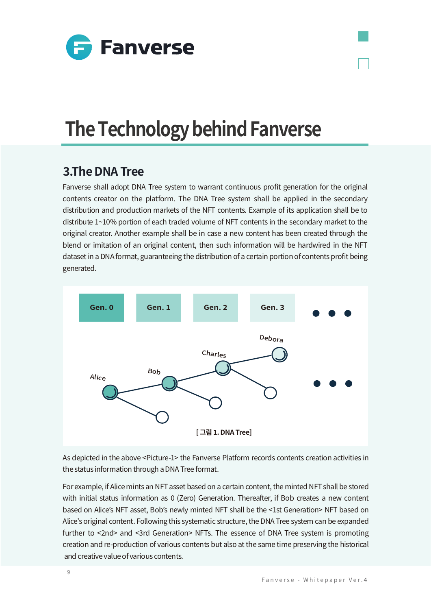

### **The Technology behind Fanverse**

#### **�.The DNA Tree**

Fanverse shall adopt DNA Tree system to warrant continuous profit generation for the original contents creator on the platform. The DNA Tree system shall be applied in the secondary distribution and production markets of the NFT contents. Example of its application shall be to distribute  $1~10\%$  portion of each traded volume of NFT contents in the secondary market to the original creator. Another example shall be in case a new content has been created through the blend or imitation of an original content, then such information will be hardwired in the NFT dataset in a DNA format, guaranteeing the distribution of a certain portion of contents profit being generated.



As depicted in the above <Picture-1> the Fanverse Platform records contents creation activities in the status information through a DNA Tree format.

For example, if Alice mints an NFT asset based on a certain content, the minted NFT shall be stored with initial status information as 0 (Zero) Generation. Thereafter, if Bob creates a new content based on Alice's NFT asset, Bob's newly minted NFT shall be the <1st Generation> NFT based on Alice's original content. Following this systematic structure, the DNA Tree system can be expanded further to <2nd> and <3rd Generation> NFTs. The essence of DNA Tree system is promoting creation and re-production of various contents but also at the same time preserving the historical and creative value of various contents.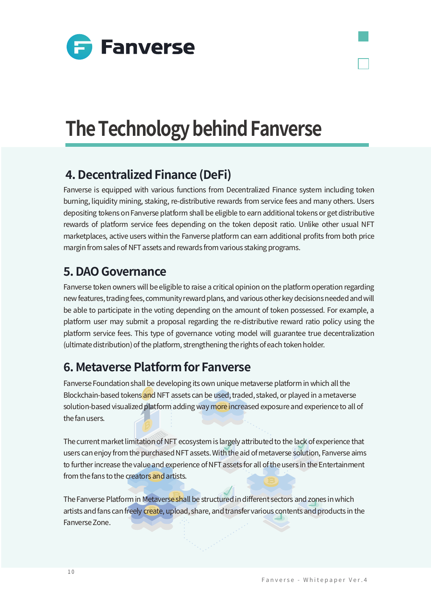

# **The Technology behind Fanverse**

### **�. Decentralized Finance (DeFi)**

Fanverse is equipped with various functions from Decentralized Finance system including token burning, liquidity mining, staking, re-distributive rewards from service fees and many others. Users depositing tokens on Fanverse platform shall be eligible to earn additional tokens or get distributive rewards of platform service fees depending on the token deposit ratio. Unlike other usual NFT marketplaces, active users within the Fanverse platform can earn additional profits from both price margin from sales of NFT assets and rewards from various staking programs.

### **�. DAO Governance**

Fanverse token owners will be eligible to raise a critical opinion on the platform operation regarding new features, trading fees, community reward plans, and various other key decisions needed and will be able to participate in the voting depending on the amount of token possessed. For example, a platform user may submit a proposal regarding the re-distributive reward ratio policy using the platform service fees. This type of governance voting model will guarantee true decentralization (ultimate distribution) of the platform, strengthening the rights of each token holder.

### **�. Metaverse Platform for Fanverse**

Fanverse Foundation shall be developing its own unique metaverse platform in which all the Blockchain-based tokens and NFT assets can be used, traded, staked, or played in a metaverse solution-based visualized platform adding way more increased exposure and experience to all of the fan users.

The current market limitation of NFT ecosystem is largely attributed to the lack of experience that users can enjoy from the purchased NFT assets. With the aid of metaverse solution, Fanverse aims to further increase the value and experience of NFT assets for all of the users in the Entertainment from the fans to the creators and artists.

The Fanverse Platform in Metaverse shall be structured in different sectors and zones in which artists and fans can freely create, upload, share, and transfer various contents and products in the Fanverse Zone.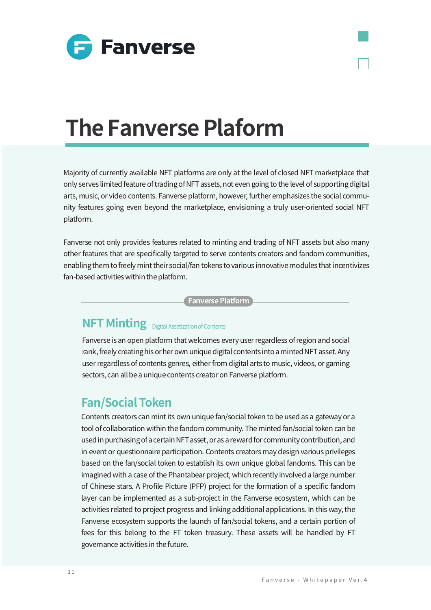



Majority of currently available NFT platforms are only at the level of closed NFT marketplace that only serves limited feature of trading of NFT assets, not even going to the level of supporting digital arts, music, or video contents. Fanverse platform, however, further emphasizes the social community features going even beyond the marketplace, envisioning a truly user-oriented social NFT platform.

Fanverse not only provides features related to minting and trading of NFT assets but also many other features that are specifically targeted to serve contents creators and fandom communities, enabling them to freely mint their social/fan tokens to various innovative modules that incentivizes fan-based activities within the platform.

**Fanverse Platform**

#### **NFT Minting** Digital Assetization of Contents

Fanverse is an open platform that welcomes every user regardless of region and social rank, freely creating his or her own unique digital contents into a minted NFT asset. Any user regardless of contents genres, either from digital arts to music, videos, or gaming sectors, can all be a unique contents creator on Fanverse platform.

#### **Fan/Social Token**

Contents creators can mint its own unique fan/social token to be used as a gateway or a tool of collaboration within the fandom community. The minted fan/social token can be used in purchasing of a certain NFT asset, or as a reward for community contribution, and in event or questionnaire participation. Contents creators may design various privileges based on the fan/social token to establish its own unique global fandoms. This can be imagined with a case of the Phantabear project, which recently involved a large number of Chinese stars. A Profile Picture (PFP) project for the formation of a specific fandom layer can be implemented as a sub-project in the Fanverse ecosystem, which can be activities related to project progress and linking additional applications. In this way, the Fanverse ecosystem supports the launch of fan/social tokens, and a certain portion of fees for this belong to the FT token treasury. These assets will be handled by FT governance activities in the future.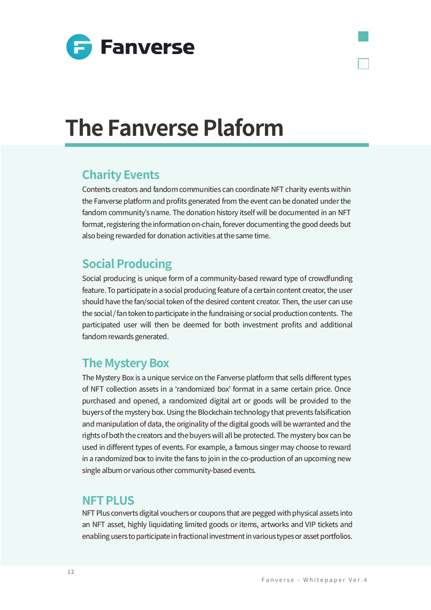

### **Charity Events**

Contents creators and fandom communities can coordinate NFT charity events within the Fanverse platform and profits generated from the event can be donated under the fandom community's name. The donation history itself will be documented in an NFT format, registering the information on-chain, forever documenting the good deeds but also being rewarded for donation activities at the same time.

#### **Social Producing**

Social producing is unique form of a community-based reward type of crowdfunding feature. To participate in a social producing feature of a certain content creator, the user should have the fan/social token of the desired content creator. Then, the user can use the social / fan token to participate in the fundraising or social production contents. The participated user will then be deemed for both investment profits and additional fandom rewards generated.

### **The Mystery Box**

The Mystery Box is a unique service on the Fanverse platform that sells different types of NFT collection assets in a ʻrandomized box' format in a same certain price. Once purchased and opened, a randomized digital art or goods will be provided to the buyers of the mystery box. Using the Blockchain technology that prevents falsification and manipulation of data, the originality of the digital goods will be warranted and the rights of both the creators and the buyers will all be protected. The mystery box can be used in different types of events. For example, a famous singer may choose to reward in a randomized box to invite the fans to join in the co-production of an upcoming new single album or various other community-based events.

#### **NFT PLUS**

NFT Plus converts digital vouchers or coupons that are pegged with physical assets into an NFT asset, highly liquidating limited goods or items, artworks and VIP tickets and enabling users to participate in fractional investment in various types or asset portfolios.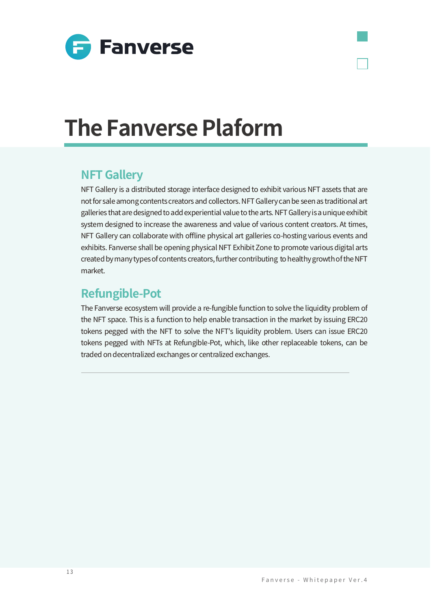

#### **NFT Gallery**

NFT Gallery is a distributed storage interface designed to exhibit various NFT assets that are not for sale among contents creators and collectors. NFT Gallery can be seen as traditional art galleries that are designed to add experiential value to the arts. NFT Gallery is a unique exhibit system designed to increase the awareness and value of various content creators. At times, NFT Gallery can collaborate with offline physical art galleries co-hosting various events and exhibits. Fanverse shall be opening physical NFT Exhibit Zone to promote various digital arts created by many types of contents creators, further contributing to healthy growth of the NFT market.

#### **Refungible-Pot**

The Fanverse ecosystem will provide a re-fungible function to solve the liquidity problem of the NFT space. This is a function to help enable transaction in the market by issuing ERC20 tokens pegged with the NFT to solve the NFT's liquidity problem. Users can issue ERC20 tokens pegged with NFTs at Refungible-Pot, which, like other replaceable tokens, can be traded on decentralized exchanges or centralized exchanges.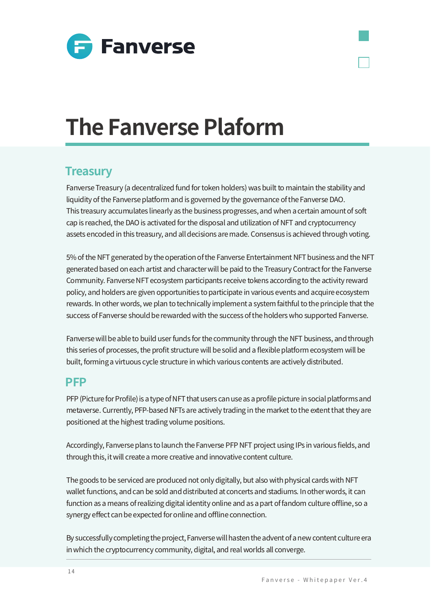

#### **Treasury**

Fanverse Treasury (a decentralized fund for token holders) was built to maintain the stability and liquidity of the Fanverse platform and is governed by the governance of the Fanverse DAO. This treasury accumulates linearly as the business progresses, and when a certain amount of soft cap is reached, the DAO is activated for the disposal and utilization of NFT and cryptocurrency assets encoded in this treasury, and all decisions are made. Consensus is achieved through voting.

�% of the NFT generated by the operation of the Fanverse Entertainment NFT business and the NFT generated based on each artist and character will be paid to the Treasury Contract for the Fanverse Community. Fanverse NFT ecosystem participants receive tokens according to the activity reward policy, and holders are given opportunities to participate in various events and acquire ecosystem rewards. In other words, we plan to technically implement a system faithful to the principle that the success of Fanverse should be rewarded with the success of the holders who supported Fanverse.

Fanverse will be able to build user funds for the community through the NFT business, and through this series of processes, the profit structure will be solid and a flexible platform ecosystem will be built, forming a virtuous cycle structure in which various contents are actively distributed.

#### **PFP**

PFP (Picture for Profile) is a type of NFT that users can use as a profile picture in social platforms and metaverse. Currently, PFP-based NFTs are actively trading in the market to the extent that they are positioned at the highest trading volume positions.

Accordingly, Fanverse plans to launch the Fanverse PFP NFT project using IPs in various fields, and through this, it will create a more creative and innovative content culture.

The goods to be serviced are produced not only digitally, but also with physical cards with NFT wallet functions, and can be sold and distributed at concerts and stadiums. In other words, it can function as a means of realizing digital identity online and as a part of fandom culture offline, so a synergy effect can be expected for online and offline connection.

By successfully completing the project, Fanverse will hasten the advent of a new content culture era in which the cryptocurrency community, digital, and real worlds all converge.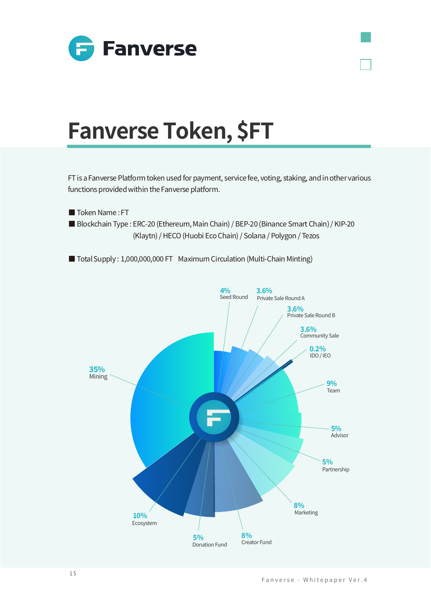

# **Fanverse Token, \$FT**

FT is a Fanverse Platform token used for payment, service fee, voting, staking, and in other various functions provided within the Fanverse platform.

Token Name: FT

Blockchain Type: ERC-20 (Ethereum, Main Chain) / BEP-20 (Binance Smart Chain) / KIP-20 (Klaytn) / HECO (Huobi Eco Chain) / Solana / Polygon / Tezos

Total Supply: 1,000,000,000 FT Maximum Circulation (Multi-Chain Minting)

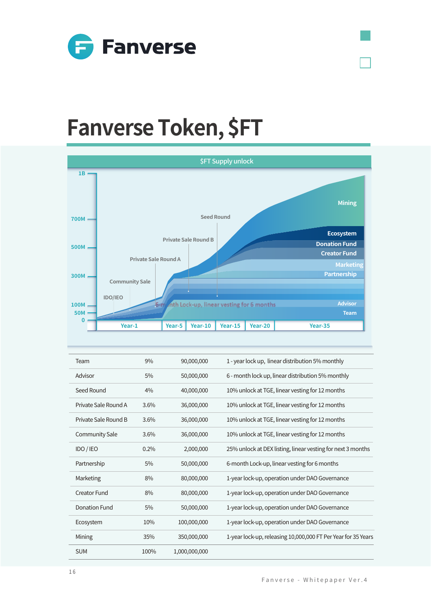

# Fanverse Token, \$FT



| Team                  | 9%   | 90,000,000    | 1 - year lock up, linear distribution 5% monthly              |
|-----------------------|------|---------------|---------------------------------------------------------------|
| Advisor               | 5%   | 50,000,000    | 6 - month lock up, linear distribution 5% monthly             |
| Seed Round            | 4%   | 40,000,000    | 10% unlock at TGE, linear vesting for 12 months               |
| Private Sale Round A  | 3.6% | 36,000,000    | 10% unlock at TGE, linear vesting for 12 months               |
| Private Sale Round B  | 3.6% | 36,000,000    | 10% unlock at TGE, linear vesting for 12 months               |
| <b>Community Sale</b> | 3.6% | 36,000,000    | 10% unlock at TGE, linear vesting for 12 months               |
| IDO / IEO             | 0.2% | 2,000,000     | 25% unlock at DEX listing, linear vesting for next 3 months   |
| Partnership           | 5%   | 50,000,000    | 6-month Lock-up, linear vesting for 6 months                  |
| Marketing             | 8%   | 80,000,000    | 1-year lock-up, operation under DAO Governance                |
| <b>Creator Fund</b>   | 8%   | 80,000,000    | 1-year lock-up, operation under DAO Governance                |
| Donation Fund         | 5%   | 50,000,000    | 1-year lock-up, operation under DAO Governance                |
| Ecosystem             | 10%  | 100,000,000   | 1-year lock-up, operation under DAO Governance                |
| Mining                | 35%  | 350,000,000   | 1-year lock-up, releasing 10,000,000 FT Per Year for 35 Years |
| <b>SUM</b>            | 100% | 1.000.000.000 |                                                               |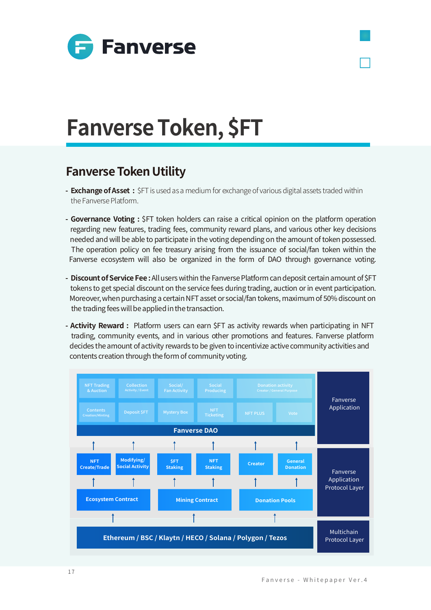

# **Fanverse Token, \$FT**

### **Fanverse Token Utility**

- **Exchange of Asset :** \$FT is used as a medium for exchange of various digital assets traded within the Fanverse Platform.
- **Governance Voting :** \$FT token holders can raise a critical opinion on the platform operation regarding new features, trading fees, community reward plans, and various other key decisions needed and will be able to participate in the voting depending on the amount of token possessed. The operation policy on fee treasury arising from the issuance of social/fan token within the Fanverse ecosystem will also be organized in the form of DAO through governance voting.
- **Discount of Service Fee :** All users within the Fanverse Platform can deposit certain amount of \$FT tokens to get special discount on the service fees during trading, auction or in event participation. Moreover, when purchasing a certain NFT asset or social/fan tokens, maximum of 50% discount on the trading fees will be applied in the transaction.
- **Activity Reward :** Platform users can earn \$FT as activity rewards when participating in NFT trading, community events, and in various other promotions and features. Fanverse platform decides the amount of activity rewards to be given to incentivize active community activities and contents creation through the form of community voting.

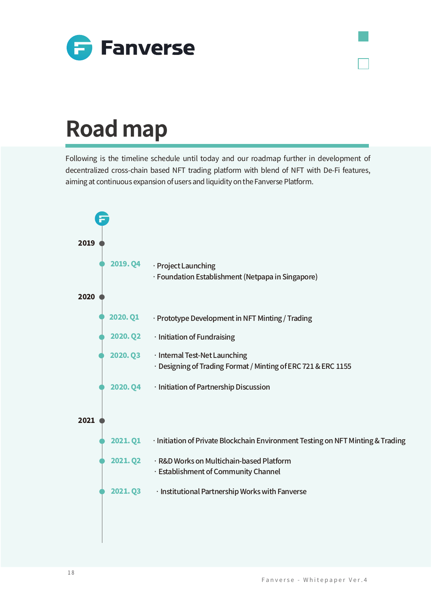

# **Road map**

Following is the timeline schedule until today and our roadmap further in development of decentralized cross-chain based NFT trading platform with blend of NFT with De-Fi features, aiming at continuous expansion of users and liquidity on the Fanverse Platform.

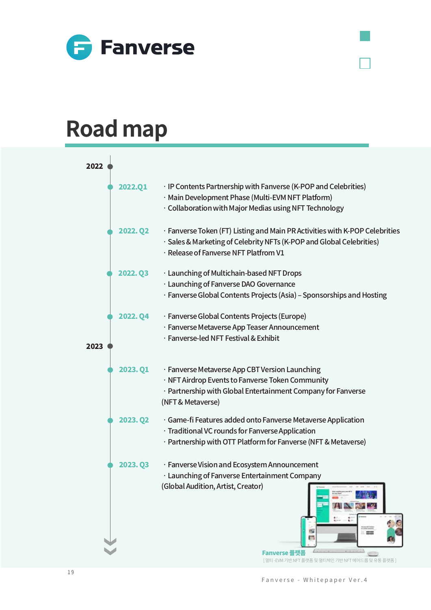

### **Road map**

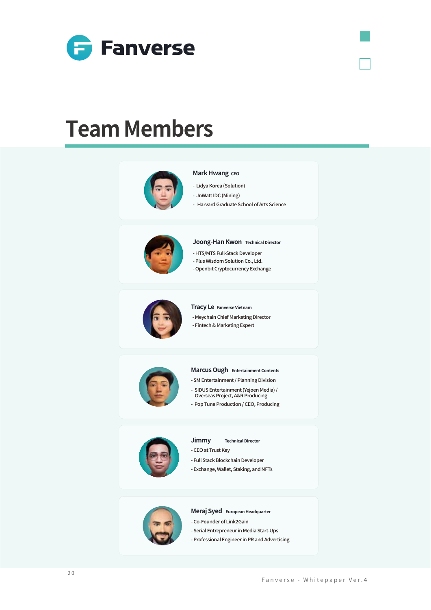

### **Team Members**



#### **Mark Hwang CEO**

- Lidya Korea (Solution)
- JnWatt IDC (Mining)
	- Harvard Graduate School of Arts Science



#### **Joong-Han Kwon Technical Director**

- HTS/MTS Full-Stack Developer
- Plus Wisdom Solution Co., Ltd.
- Openbit Cryptocurrency Exchange



#### **Tracy Le Fanverse Vietnam**

- Meychain Chief Marketing Director
- Fintech & Marketing Expert



#### **Marcus Ough Entertainment Contents**

- SM Entertainment / Planning Division
- SIDUS Entertainment (Yejoen Media) / Overseas Project, A&R Producing
- Pop Tune Production / CEO, Producing



**Jimmy Technical Director**

- CEO at Trust Key
- Full Stack Blockchain Developer
- Exchange, Wallet, Staking, and NFTs



#### **Meraj Syed European Headquarter**

- Co-Founder of Link�Gain
- Serial Entrepreneur in Media Start-Ups
- Professional Engineer in PR and Advertising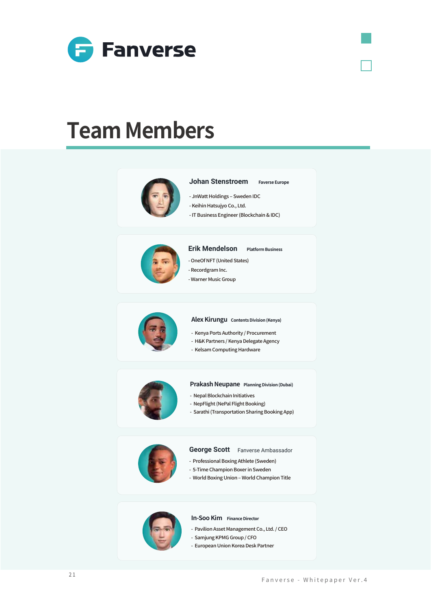

### **Team Members**



### - IT Business Engineer (Blockchain & IDC)



#### **Erik Mendelson Platform Business**

**Johan Stenstroem Faverse Europe**

- JnWatt Holdings - Sweden IDC - Keihin Hatsujyo Co., Ltd.

- OneOf NFT (United States)
- Recordgram Inc.
- Warner Music Group



#### **Alex Kirungu Contents Division (Kenya)**

- Kenya Ports Authority / Procurement
- H&K Partners / Kenya Delegate Agency
- Kelsam Computing Hardware



#### **Prakash Neupane Planning Division (Dubai)**

- Nepal Blockchain Initiatives
- NepFlight (NePal Flight Booking)
- Sarathi (Transportation Sharing Booking App)



#### **George Scott** Fanverse Ambassador

- Professional Boxing Athlete (Sweden)
- 5-Time Champion Boxer in Sweden
- World Boxing Union World Champion Title



#### **In-Soo Kim Finance Director**

- Pavilion Asset Management Co., Ltd. / CEO
- Samjung KPMG Group / CFO
	- European Union Korea Desk Partner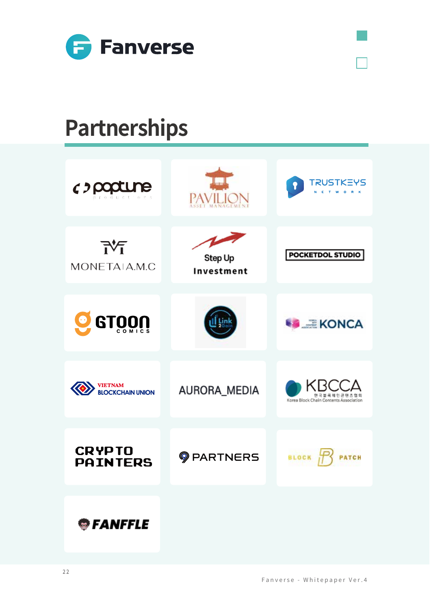

# **Partnerships**

| c) popune<br>productions                  |                       | TRUSTKEYS<br>Ε<br>$\circ$                             |
|-------------------------------------------|-----------------------|-------------------------------------------------------|
| <b>N</b><br>MONETAIA.M.C                  | Step Up<br>Investment | POCKETDOL STUDIO                                      |
| <b>GTOON</b><br>$\bullet$                 |                       | $\equiv KONCA$                                        |
| <b>VIETNAM</b><br><b>BLOCKCHAIN UNION</b> | AURORA_MEDIA          | 안국블록체인콘텐츠협회<br>Korea Block Chain Contents Association |
| <b>CRYPTO</b><br><b>PAINTERS</b>          | <b>OPARTNERS</b>      | <b>BLOCK</b>                                          |
| <b>S</b> FANFFLE                          |                       |                                                       |